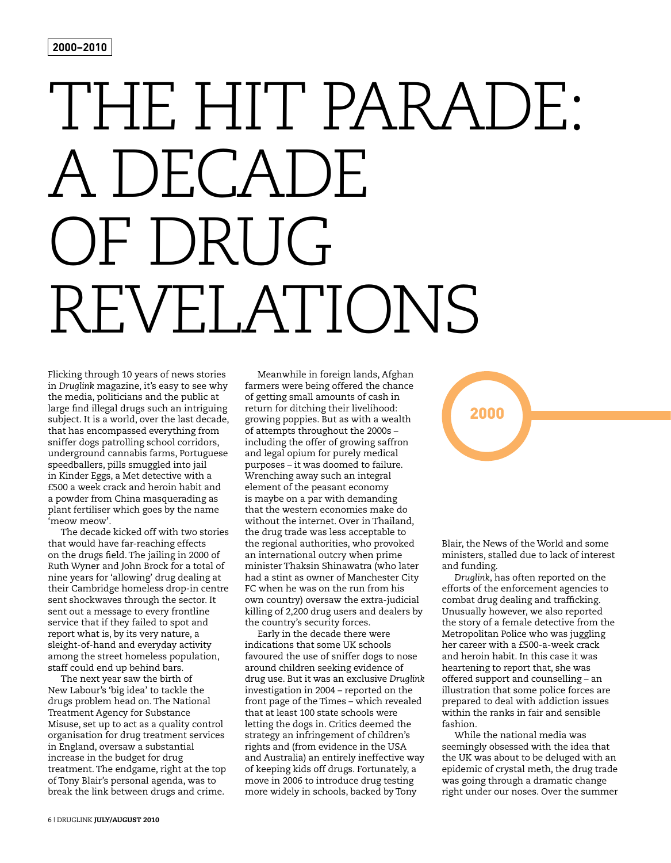#### **2000–2010**

# THE HIT PARADE: A DECADE OF DRUG REVELATIONS

Flicking through 10 years of news stories in *Druglink* magazine, it's easy to see why the media, politicians and the public at large find illegal drugs such an intriguing subject. It is a world, over the last decade, that has encompassed everything from sniffer dogs patrolling school corridors, underground cannabis farms, Portuguese speedballers, pills smuggled into jail in Kinder Eggs, a Met detective with a £500 a week crack and heroin habit and a powder from China masquerading as plant fertiliser which goes by the name 'meow meow'.

The decade kicked off with two stories that would have far-reaching effects on the drugs field. The jailing in 2000 of Ruth Wyner and John Brock for a total of nine years for 'allowing' drug dealing at their Cambridge homeless drop-in centre sent shockwaves through the sector. It sent out a message to every frontline service that if they failed to spot and report what is, by its very nature, a sleight-of-hand and everyday activity among the street homeless population, staff could end up behind bars.

The next year saw the birth of New Labour's 'big idea' to tackle the drugs problem head on. The National Treatment Agency for Substance Misuse, set up to act as a quality control organisation for drug treatment services in England, oversaw a substantial increase in the budget for drug treatment. The endgame, right at the top of Tony Blair's personal agenda, was to break the link between drugs and crime.

Meanwhile in foreign lands, Afghan farmers were being offered the chance of getting small amounts of cash in return for ditching their livelihood: growing poppies. But as with a wealth of attempts throughout the 2000s – including the offer of growing saffron and legal opium for purely medical purposes – it was doomed to failure. Wrenching away such an integral element of the peasant economy is maybe on a par with demanding that the western economies make do without the internet. Over in Thailand, the drug trade was less acceptable to the regional authorities, who provoked an international outcry when prime minister Thaksin Shinawatra (who later had a stint as owner of Manchester City FC when he was on the run from his own country) oversaw the extra-judicial killing of 2,200 drug users and dealers by the country's security forces.

Early in the decade there were indications that some UK schools favoured the use of sniffer dogs to nose around children seeking evidence of drug use. But it was an exclusive *Druglink* investigation in 2004 – reported on the front page of the Times – which revealed that at least 100 state schools were letting the dogs in. Critics deemed the strategy an infringement of children's rights and (from evidence in the USA and Australia) an entirely ineffective way of keeping kids off drugs. Fortunately, a move in 2006 to introduce drug testing more widely in schools, backed by Tony

## 2000

Blair, the News of the World and some ministers, stalled due to lack of interest and funding.

*Druglink*, has often reported on the efforts of the enforcement agencies to combat drug dealing and trafficking. Unusually however, we also reported the story of a female detective from the Metropolitan Police who was juggling her career with a £500-a-week crack and heroin habit. In this case it was heartening to report that, she was offered support and counselling – an illustration that some police forces are prepared to deal with addiction issues within the ranks in fair and sensible fashion.

While the national media was seemingly obsessed with the idea that the UK was about to be deluged with an epidemic of crystal meth, the drug trade was going through a dramatic change right under our noses. Over the summer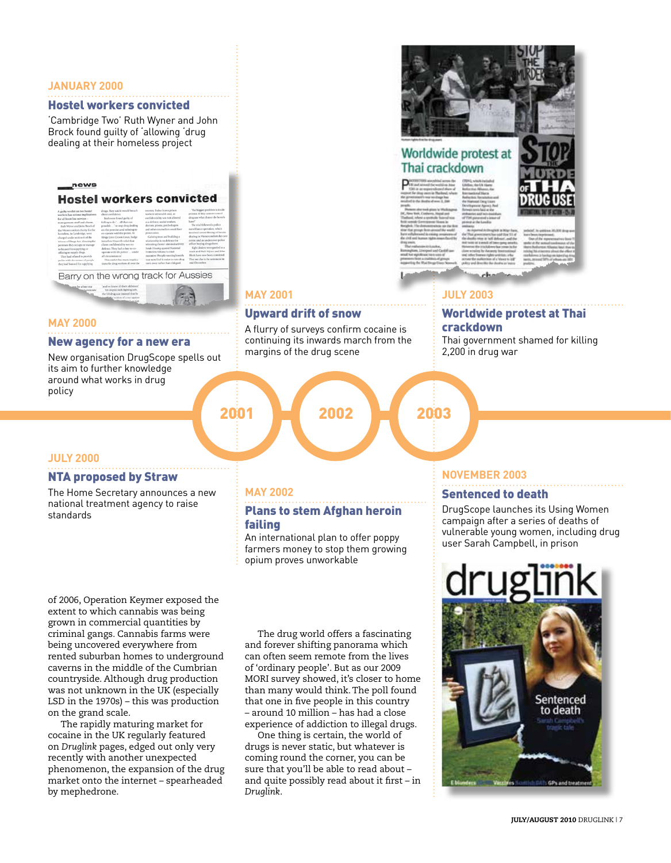#### **JANUARY 2000**

#### Hostel workers convicted

'Cambridge Two' Ruth Wyner and John Brock found guilty of 'allowing 'drug dealing at their homeless project

#### news

#### **Hostel workers convicted**

| A guilty verdict on two hostel            | drugs. They said it would berach                                                                                                            | essentry. It also leaves prison      | The biggest problem is inside    |
|-------------------------------------------|---------------------------------------------------------------------------------------------------------------------------------------------|--------------------------------------|----------------------------------|
| workers has scripps implications          | diese confidence.                                                                                                                           | workers valorrable and, as           | prisons. If they cannot control  |
| for all faset line services -             | Best's were found guilty of                                                                                                                 | confidentiality was not allowed      | drug use what chance do hostels  |
| management, staff and clients.            | folling to do" all that was                                                                                                                 | as a defence, social workers.        | hand?                            |
| Ruth Winser and John Brock of             | possible  ' to stop drug dealing                                                                                                            | doctors, priests, perchologists      | The trial followed a police      |
| the Winnercomfort charity for the         | on the premises and sclusing to-                                                                                                            | and other counsellors could face     | sunellimer operation, which      |
| homeless, in Cambridge, were              | on-operate with the police. At                                                                                                              | neuseousloss.                        | insolved overt filming of heroin |
| charged under section 8 of the            | Kings Lynn Crown Court, Judge                                                                                                               | Galaing trust and building a         | dealing in Winnercomfort day can |
| Missour of Drugs Act, allowing the        | tonathan Hawceth ruled that                                                                                                                 | adationship is no defence for        | centre and an undercover police  |
| permises they occupy or manage            | client confidentiality was no                                                                                                               | advocing dieser criminal activity.   | edlicer buying drugs there.      |
| to be used for supplying or               | defence. They had a duty to co-                                                                                                             | Issiale Hausing quested National     | Eight dealers were gashed as a   |
| officting to supply drugs.                | operate with the police" under                                                                                                              | Homeley, Alliance's chief.           | result and Buth Wener and John   |
| They had refused to provide               | all decumstances'                                                                                                                           | executive: People running hostels    | Block have now been consisted.   |
| pedice with the names of people           | This wedict has many implica-                                                                                                               | may now find it easier to turn drug. | They are due to be rentenced in  |
| they had hanned for supplying             | tions for drug workers all over the                                                                                                         | users away rather than risk gool.    | mid-December.                    |
| sames be a four star<br><b>Guyen</b> rate | and we know all their addresses'<br>Yet despite such fighting talk.<br>the US drug caar insisted that he<br>and the notion of a war against | Barry on the wrong track for Aussies |                                  |

#### **MAY 2000**

#### New agency for a new era

New organisation DrugScope spells out its aim to further knowledge around what works in drug policy

## **MAY 2001**

### Upward drift of snow

A flurry of surveys confirm cocaine is continuing its inwards march from the margins of the drug scene

2001 2002 2003



### Worldwide protest at Thai crackdown

#### **JULY 2003**

#### Worldwide protest at Thai crackdown

Thai government shamed for killing 2,200 in drug war

#### **JULY 2000**

#### NTA proposed by Straw

The Home Secretary announces a new national treatment agency to raise standards

#### **MAY 2002**

#### Plans to stem Afghan heroin failing

An international plan to offer poppy farmers money to stop them growing opium proves unworkable

of 2006, Operation Keymer exposed the extent to which cannabis was being grown in commercial quantities by criminal gangs. Cannabis farms were being uncovered everywhere from rented suburban homes to underground caverns in the middle of the Cumbrian countryside. Although drug production was not unknown in the UK (especially LSD in the 1970s) – this was production on the grand scale.

The rapidly maturing market for cocaine in the UK regularly featured on *Druglink* pages, edged out only very recently with another unexpected phenomenon, the expansion of the drug market onto the internet – spearheaded by mephedrone.

The drug world offers a fascinating and forever shifting panorama which can often seem remote from the lives of 'ordinary people'. But as our 2009 MORI survey showed, it's closer to home than many would think. The poll found that one in five people in this country – around 10 million – has had a close experience of addiction to illegal drugs.

One thing is certain, the world of drugs is never static, but whatever is coming round the corner, you can be sure that you'll be able to read about – and quite possibly read about it first – in *Druglink*.

#### **NOVEMBER 2003**

#### Sentenced to death

DrugScope launches its Using Women campaign after a series of deaths of vulnerable young women, including drug user Sarah Campbell, in prison

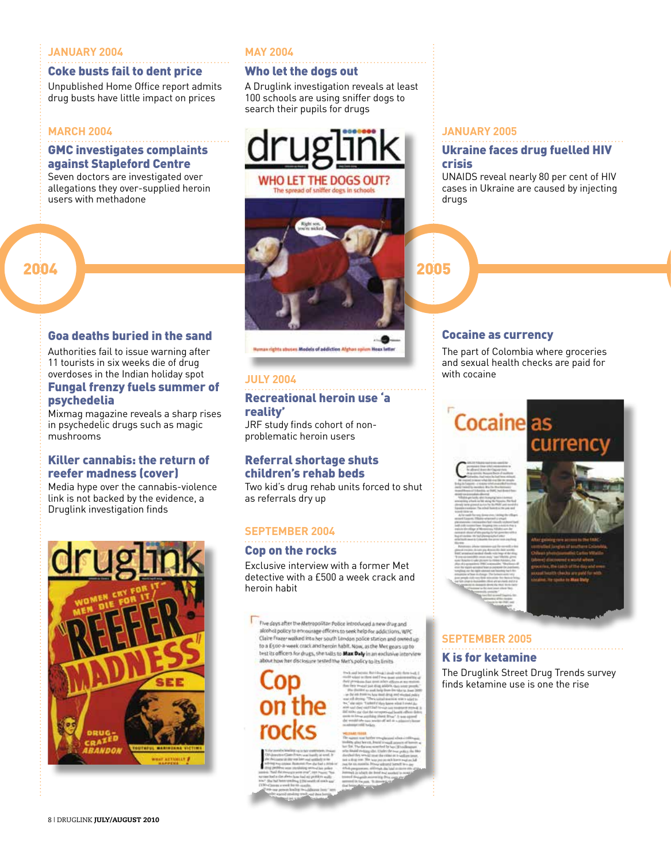#### **JANUARY 2004**

#### Coke busts fail to dent price

Unpublished Home Office report admits drug busts have little impact on prices

#### **MARCH 2004**

#### GMC investigates complaints against Stapleford Centre

Seven doctors are investigated over allegations they over-supplied heroin users with methadone

#### **MAY 2004**

#### Who let the dogs out

A Druglink investigation reveals at least 100 schools are using sniffer dogs to search their pupils for drugs





Human rights abuses Models of addiction Afghan opium Hoax lett

#### **JULY 2004**

#### Recreational heroin use 'a reality'

JRF study finds cohort of nonproblematic heroin users

#### Referral shortage shuts children's rehab beds

Two kid's drug rehab units forced to shut as referrals dry up

#### **SEPTEMBER 2004**

#### Cop on the rocks

Exclusive interview with a former Met detective with a £500 a week crack and heroin habit

Five days after the Metropolitan Police introduced a new drug and alcohol policy to encourage officers to seek help for addictions, WPC Claire Frazer walked into her south London police station and owned up<br>to a E500-a-week crack and heroin habit. Now, as the Met gears up to test its officers for drugs, she talks to Max Daly in an exclusive intervier about how her disclosure tested the Met's policy to its limits

on the

**JANUARY 2005**

#### Ukraine faces drug fuelled HIV crisis

UNAIDS reveal nearly 80 per cent of HIV cases in Ukraine are caused by injecting drugs

#### Cocaine as currency

The part of Colombia where groceries and sexual health checks are paid for with cocaine

## Cocaine as



currency

## **SEPTEMBER 2005**

#### K is for ketamine

The Druglink Street Drug Trends survey finds ketamine use is one the rise

#### overdoses in the Indian holiday spot Fungal frenzy fuels summer of

Goa deaths buried in the sand Authorities fail to issue warning after 11 tourists in six weeks die of drug

#### psychedelia

Mixmag magazine reveals a sharp rises in psychedelic drugs such as magic mushrooms

#### Killer cannabis: the return of reefer madness (cover)

Media hype over the cannabis-violence link is not backed by the evidence, a Druglink investigation finds

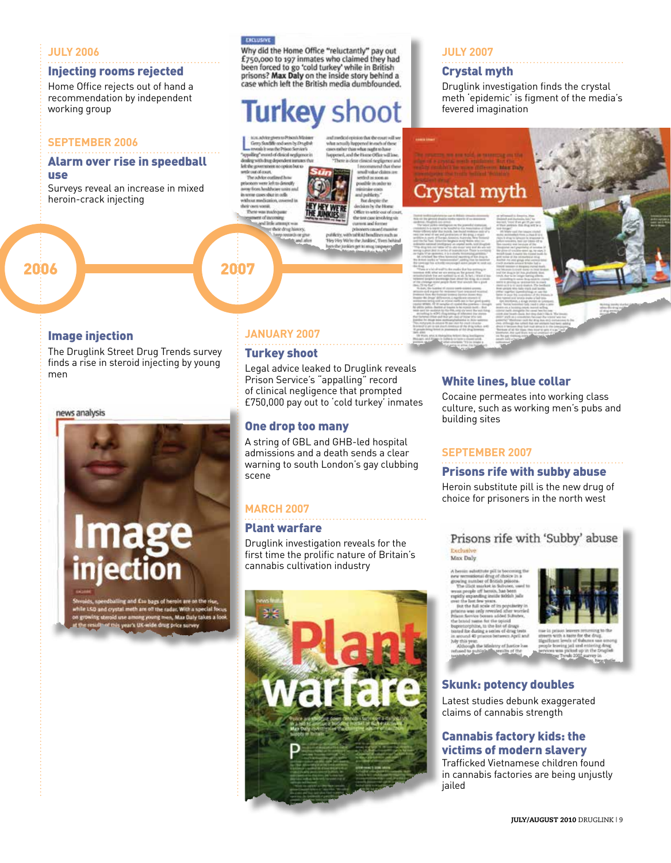#### **JULY 2006**

#### Injecting rooms rejected

Home Office rejects out of hand a recommendation by independent working group

#### **SEPTEMBER 2006**

#### Alarm over rise in speedball use

Surveys reveal an increase in mixed heroin-crack injecting

#### EXCLUSIVE

Why did the Home Office "reluctantly" pay out<br>£750,000 to 197 inmates who claimed they had x/50,000 to xy minitates wine cualment in British<br>prisons? **Max Daly** cold turkey' while in British<br>prisons? **Max Daly** on the inside story behind a<br>case which left the British media dumbfounded.

urkey shoot

.<br>Librarda

The white ai b to late as de tion has delive we day in cult

which is beautifused and by Who the Junkley' Trees fails y We're the Junktes', Tiven be<br>Junktes get to may tregonom

**JULY 2007**

#### Crystal myth

Druglink investigation finds the crystal meth 'epidemic' is figment of the media's fevered imagination



#### Image injection

The Druglink Street Drug Trends survey finds a rise in steroid injecting by young men

2006 2007

news analysis

# lage

d £so bags of heroin are on the rise, th are off the radar. With a special fo a men. Max Daly takes a

## **JANUARY 2007**

#### Turkey shoot

Legal advice leaked to Druglink reveals Prison Service's "appalling" record of clinical negligence that prompted £750,000 pay out to 'cold turkey' inmates

#### One drop too many

A string of GBL and GHB-led hospital admissions and a death sends a clear warning to south London's gay clubbing scene

## **MARCH 2007**

#### Plant warfare Druglink investigation reveals for the

first time the prolific nature of Britain's cannabis cultivation industry



#### White lines, blue collar

Cocaine permeates into working class culture, such as working men's pubs and building sites

#### **SEPTEMBER 2007**

#### Prisons rife with subby abuse

Heroin substitute pill is the new drug of choice for prisoners in the north west

Prisons rife with 'Subby' abuse Max Daly

ew necessional drug of choice<br>swing number of British prison<br>The dilect market in Sulvate<br>was people off beroin, has be ing at gh the Ministry of Justice has

 $\overline{13}$  of  $\overline{1}$ 



#### Skunk: potency doubles

Latest studies debunk exaggerated claims of cannabis strength

#### Cannabis factory kids: the victims of modern slavery

Trafficked Vietnamese children found in cannabis factories are being unjustly jailed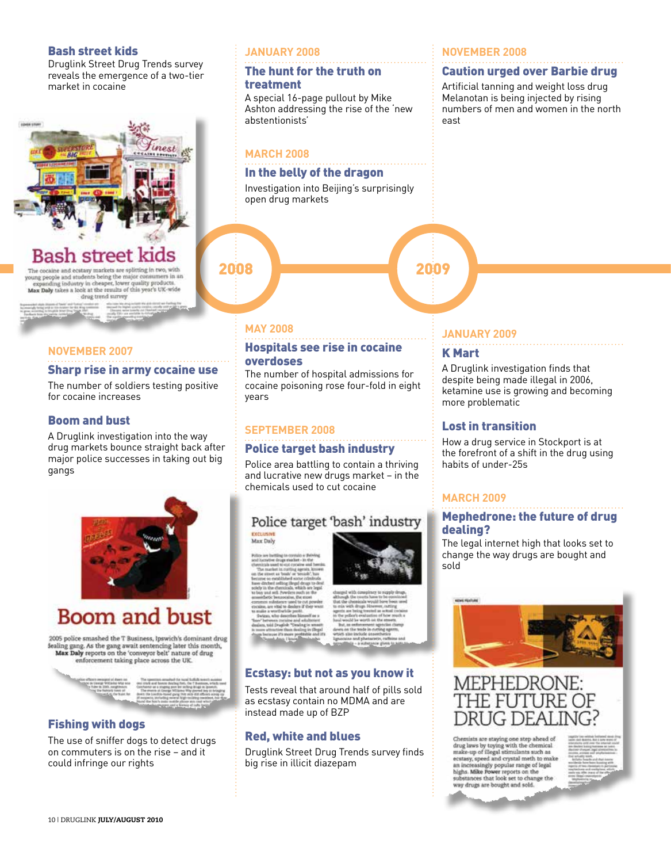#### Bash street kids

Druglink Street Drug Trends survey reveals the emergence of a two-tier market in cocaine



## Bash street ki

The cocaine and ecstasy markets are splitting in two, with young people and atudents being the major consumers in an expanding industry in cheeper, lower quality products. Max Daby takes a look at the results of this year's UK-wide drag trend survey

#### **NOVEMBER 2007**

#### Sharp rise in army cocaine use

The number of soldiers testing positive for cocaine increases

#### Boom and bust

A Druglink investigation into the way drug markets bounce straight back after major police successes in taking out big gangs



## **Boom and bust**

2005 police smashed the T Business, Ipswich's dominant drug dealing gang. As the gang await sentencing later this month,<br>Max Daly reports on the 'conveyor belt' nature of drug nforcement taking place across the UK



#### Fishing with dogs

The use of sniffer dogs to detect drugs on commuters is on the rise – and it could infringe our rights

#### **JANUARY 2008**

#### The hunt for the truth on treatment

A special 16-page pullout by Mike Ashton addressing the rise of the 'new abstentionists'

#### **MARCH 2008**

#### In the belly of the dragon

Investigation into Beijing's surprisingly open drug markets

## 2008

#### **NOVEMBER 2008**

#### Caution urged over Barbie drug

Artificial tanning and weight loss drug Melanotan is being injected by rising numbers of men and women in the north east

#### **MAY 2008**

#### Hospitals see rise in cocaine overdoses

The number of hospital admissions for cocaine poisoning rose four-fold in eight years

#### **SEPTEMBER 2008**

#### Police target bash industry

Police area battling to contain a thriving and lucrative new drugs market – in the chemicals used to cut cocaine

## Police target 'bash' industry

#### Max Daly

# Ecstasy: but not as you know it

Tests reveal that around half of pills sold as ecstasy contain no MDMA and are instead made up of BZP

#### Red, white and blues

Druglink Street Drug Trends survey finds big rise in illicit diazepam



#### **JANUARY 2009**

#### K Mart

A Druglink investigation finds that despite being made illegal in 2006, ketamine use is growing and becoming more problematic

#### Lost in transition

How a drug service in Stockport is at the forefront of a shift in the drug using habits of under-25s

#### **MARCH 2009**

#### Mephedrone: the future of drug dealing?

The legal internet high that looks set to change the way drugs are bought and sold



Chemists are staying one step ahead of<br>drug laws by toying with the chemical area was op together make the community and make up of filegal stimulants such as<br>ecstasy, speed and crystal meth to make<br>an increasingly popular range of legal<br>highs. Mike Power reports on the<br>substances that look set to way drugs are bought and sold.

RUG DEAI